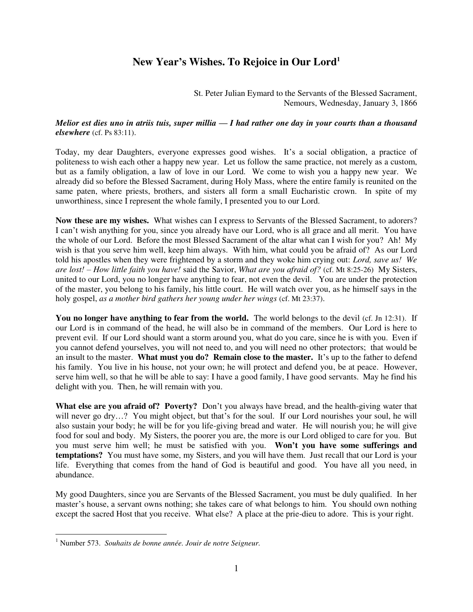## **New Year's Wishes. To Rejoice in Our Lord<sup>1</sup>**

St. Peter Julian Eymard to the Servants of the Blessed Sacrament, Nemours, Wednesday, January 3, 1866

## *Melior est dies uno in atriis tuis, super millia — I had rather one day in your courts than a thousand elsewhere* (cf. Ps 83:11).

Today, my dear Daughters, everyone expresses good wishes. It's a social obligation, a practice of politeness to wish each other a happy new year. Let us follow the same practice, not merely as a custom, but as a family obligation, a law of love in our Lord. We come to wish you a happy new year. We already did so before the Blessed Sacrament, during Holy Mass, where the entire family is reunited on the same paten, where priests, brothers, and sisters all form a small Eucharistic crown. In spite of my unworthiness, since I represent the whole family, I presented you to our Lord.

**Now these are my wishes.** What wishes can I express to Servants of the Blessed Sacrament, to adorers? I can't wish anything for you, since you already have our Lord, who is all grace and all merit. You have the whole of our Lord. Before the most Blessed Sacrament of the altar what can I wish for you? Ah! My wish is that you serve him well, keep him always. With him, what could you be afraid of? As our Lord told his apostles when they were frightened by a storm and they woke him crying out: *Lord, save us! We are lost! – How little faith you have!* said the Savior, *What are you afraid of?* (cf. Mt 8:25-26) My Sisters, united to our Lord, you no longer have anything to fear, not even the devil. You are under the protection of the master, you belong to his family, his little court. He will watch over you, as he himself says in the holy gospel, *as a mother bird gathers her young under her wings* (cf. Mt 23:37).

You no longer have anything to fear from the world. The world belongs to the devil (cf. Jn 12:31). If our Lord is in command of the head, he will also be in command of the members. Our Lord is here to prevent evil. If our Lord should want a storm around you, what do you care, since he is with you. Even if you cannot defend yourselves, you will not need to, and you will need no other protectors; that would be an insult to the master. **What must you do? Remain close to the master.** It's up to the father to defend his family. You live in his house, not your own; he will protect and defend you, be at peace. However, serve him well, so that he will be able to say: I have a good family, I have good servants. May he find his delight with you. Then, he will remain with you.

**What else are you afraid of? Poverty?** Don't you always have bread, and the health-giving water that will never go dry…? You might object, but that's for the soul. If our Lord nourishes your soul, he will also sustain your body; he will be for you life-giving bread and water. He will nourish you; he will give food for soul and body. My Sisters, the poorer you are, the more is our Lord obliged to care for you. But you must serve him well; he must be satisfied with you. **Won't you have some sufferings and temptations?** You must have some, my Sisters, and you will have them. Just recall that our Lord is your life. Everything that comes from the hand of God is beautiful and good. You have all you need, in abundance.

My good Daughters, since you are Servants of the Blessed Sacrament, you must be duly qualified. In her master's house, a servant owns nothing; she takes care of what belongs to him. You should own nothing except the sacred Host that you receive. What else? A place at the prie-dieu to adore. This is your right.

 1 Number 573. *Souhaits de bonne année. Jouir de notre Seigneur.*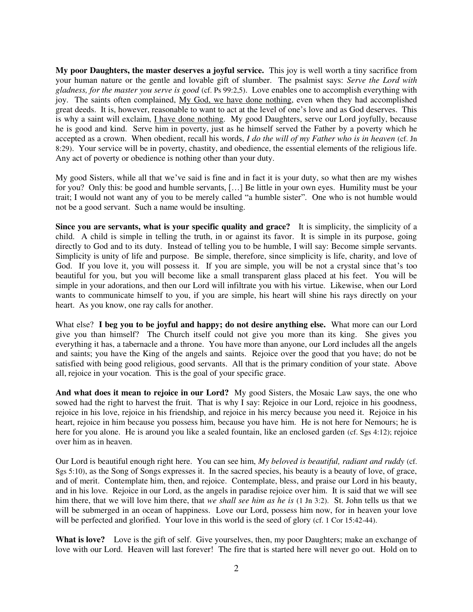**My poor Daughters, the master deserves a joyful service.** This joy is well worth a tiny sacrifice from your human nature or the gentle and lovable gift of slumber. The psalmist says: *Serve the Lord with gladness, for the master you serve is good* (cf. Ps 99:2,5). Love enables one to accomplish everything with joy. The saints often complained, My God, we have done nothing, even when they had accomplished great deeds. It is, however, reasonable to want to act at the level of one's love and as God deserves. This is why a saint will exclaim, I have done nothing. My good Daughters, serve our Lord joyfully, because he is good and kind. Serve him in poverty, just as he himself served the Father by a poverty which he accepted as a crown. When obedient, recall his words, *I do the will of my Father who is in heaven* (cf. Jn 8:29). Your service will be in poverty, chastity, and obedience, the essential elements of the religious life. Any act of poverty or obedience is nothing other than your duty.

My good Sisters, while all that we've said is fine and in fact it is your duty, so what then are my wishes for you? Only this: be good and humble servants, […] Be little in your own eyes. Humility must be your trait; I would not want any of you to be merely called "a humble sister". One who is not humble would not be a good servant. Such a name would be insulting.

**Since you are servants, what is your specific quality and grace?** It is simplicity, the simplicity of a child. A child is simple in telling the truth, in or against its favor. It is simple in its purpose, going directly to God and to its duty. Instead of telling you to be humble, I will say: Become simple servants. Simplicity is unity of life and purpose. Be simple, therefore, since simplicity is life, charity, and love of God. If you love it, you will possess it. If you are simple, you will be not a crystal since that's too beautiful for you, but you will become like a small transparent glass placed at his feet. You will be simple in your adorations, and then our Lord will infiltrate you with his virtue. Likewise, when our Lord wants to communicate himself to you, if you are simple, his heart will shine his rays directly on your heart. As you know, one ray calls for another.

What else? **I beg you to be joyful and happy; do not desire anything else.** What more can our Lord give you than himself? The Church itself could not give you more than its king. She gives you everything it has, a tabernacle and a throne. You have more than anyone, our Lord includes all the angels and saints; you have the King of the angels and saints. Rejoice over the good that you have; do not be satisfied with being good religious, good servants. All that is the primary condition of your state. Above all, rejoice in your vocation. This is the goal of your specific grace.

**And what does it mean to rejoice in our Lord?** My good Sisters, the Mosaic Law says, the one who sowed had the right to harvest the fruit. That is why I say: Rejoice in our Lord, rejoice in his goodness, rejoice in his love, rejoice in his friendship, and rejoice in his mercy because you need it. Rejoice in his heart, rejoice in him because you possess him, because you have him. He is not here for Nemours; he is here for you alone. He is around you like a sealed fountain, like an enclosed garden (cf. Sgs 4:12); rejoice over him as in heaven.

Our Lord is beautiful enough right here. You can see him, *My beloved is beautiful, radiant and ruddy* (cf. Sgs 5:10), as the Song of Songs expresses it. In the sacred species, his beauty is a beauty of love, of grace, and of merit. Contemplate him, then, and rejoice. Contemplate, bless, and praise our Lord in his beauty, and in his love. Rejoice in our Lord, as the angels in paradise rejoice over him. It is said that we will see him there, that we will love him there, that *we shall see him as he is* (1 Jn 3:2). St. John tells us that we will be submerged in an ocean of happiness. Love our Lord, possess him now, for in heaven your love will be perfected and glorified. Your love in this world is the seed of glory (cf. 1 Cor 15:42-44).

**What is love?** Love is the gift of self. Give yourselves, then, my poor Daughters; make an exchange of love with our Lord. Heaven will last forever! The fire that is started here will never go out. Hold on to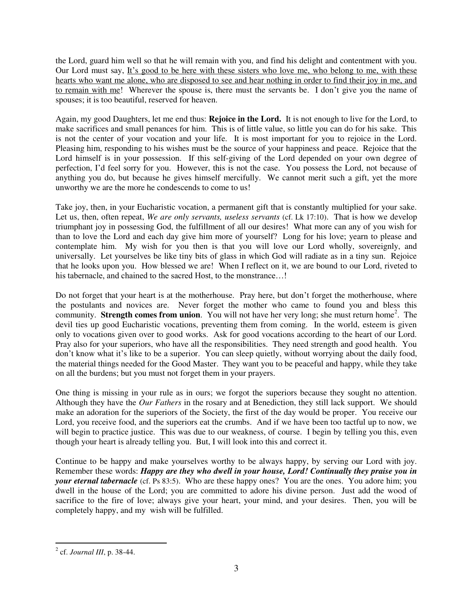the Lord, guard him well so that he will remain with you, and find his delight and contentment with you. Our Lord must say, It's good to be here with these sisters who love me, who belong to me, with these hearts who want me alone, who are disposed to see and hear nothing in order to find their joy in me, and to remain with me! Wherever the spouse is, there must the servants be. I don't give you the name of spouses; it is too beautiful, reserved for heaven.

Again, my good Daughters, let me end thus: **Rejoice in the Lord.** It is not enough to live for the Lord, to make sacrifices and small penances for him. This is of little value, so little you can do for his sake. This is not the center of your vocation and your life. It is most important for you to rejoice in the Lord. Pleasing him, responding to his wishes must be the source of your happiness and peace. Rejoice that the Lord himself is in your possession. If this self-giving of the Lord depended on your own degree of perfection, I'd feel sorry for you. However, this is not the case. You possess the Lord, not because of anything you do, but because he gives himself mercifully. We cannot merit such a gift, yet the more unworthy we are the more he condescends to come to us!

Take joy, then, in your Eucharistic vocation, a permanent gift that is constantly multiplied for your sake. Let us, then, often repeat, *We are only servants, useless servants* (cf. Lk 17:10). That is how we develop triumphant joy in possessing God, the fulfillment of all our desires! What more can any of you wish for than to love the Lord and each day give him more of yourself? Long for his love; yearn to please and contemplate him. My wish for you then is that you will love our Lord wholly, sovereignly, and universally. Let yourselves be like tiny bits of glass in which God will radiate as in a tiny sun. Rejoice that he looks upon you. How blessed we are! When I reflect on it, we are bound to our Lord, riveted to his tabernacle, and chained to the sacred Host, to the monstrance...!

Do not forget that your heart is at the motherhouse. Pray here, but don't forget the motherhouse, where the postulants and novices are. Never forget the mother who came to found you and bless this community. **Strength comes from union**. You will not have her very long; she must return home<sup>2</sup>. The devil ties up good Eucharistic vocations, preventing them from coming. In the world, esteem is given only to vocations given over to good works. Ask for good vocations according to the heart of our Lord. Pray also for your superiors, who have all the responsibilities. They need strength and good health. You don't know what it's like to be a superior. You can sleep quietly, without worrying about the daily food, the material things needed for the Good Master. They want you to be peaceful and happy, while they take on all the burdens; but you must not forget them in your prayers.

One thing is missing in your rule as in ours; we forgot the superiors because they sought no attention. Although they have the *Our Fathers* in the rosary and at Benediction, they still lack support. We should make an adoration for the superiors of the Society, the first of the day would be proper. You receive our Lord, you receive food, and the superiors eat the crumbs. And if we have been too tactful up to now, we will begin to practice justice. This was due to our weakness, of course. I begin by telling you this, even though your heart is already telling you. But, I will look into this and correct it.

Continue to be happy and make yourselves worthy to be always happy, by serving our Lord with joy. Remember these words: *Happy are they who dwell in your house, Lord! Continually they praise you in your eternal tabernacle* (cf. Ps 83:5). Who are these happy ones? You are the ones. You adore him; you dwell in the house of the Lord; you are committed to adore his divine person. Just add the wood of sacrifice to the fire of love; always give your heart, your mind, and your desires. Then, you will be completely happy, and my wish will be fulfilled.

 2 cf. *Journal III*, p. 38-44.